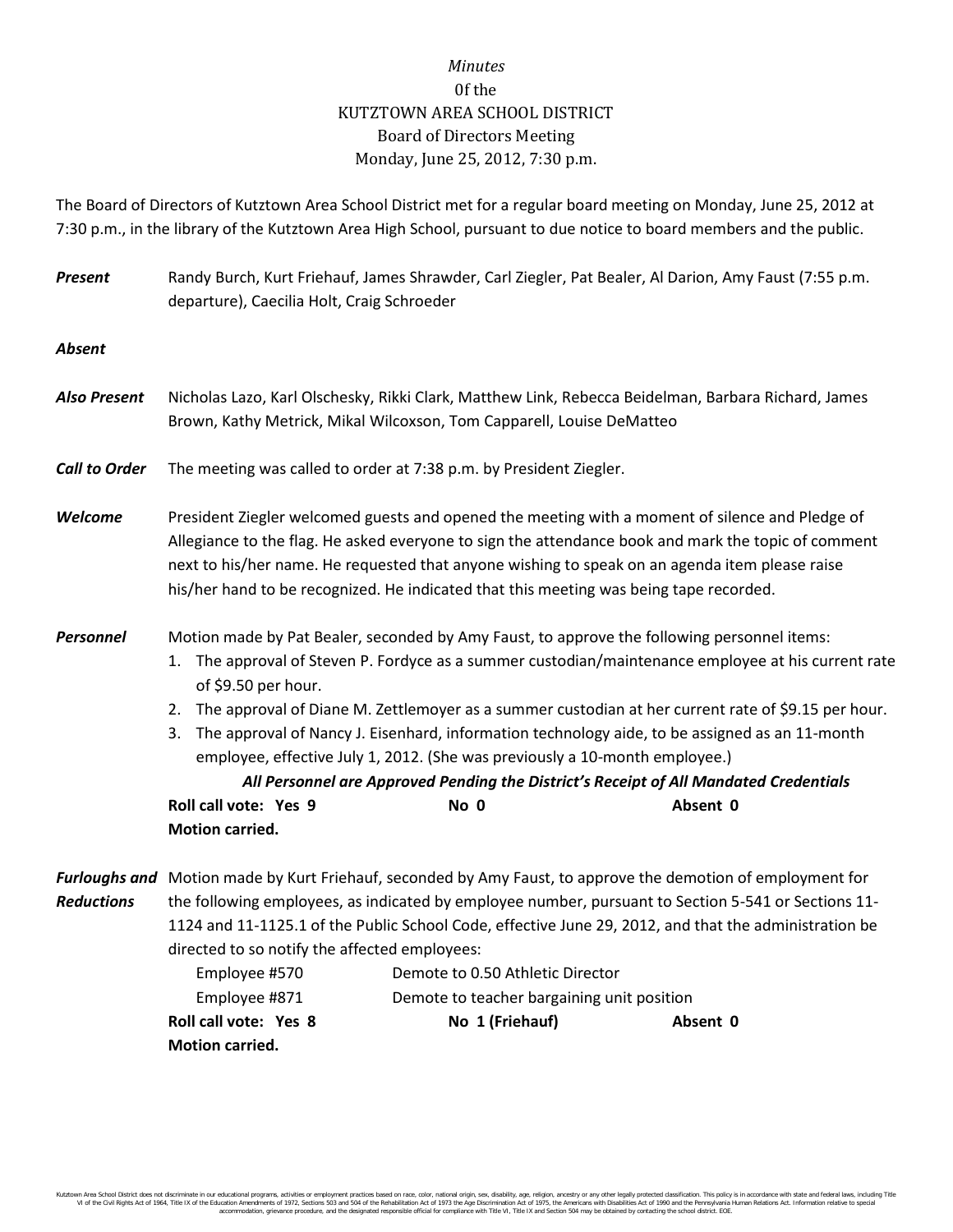## *Minutes* 0f the KUTZTOWN AREA SCHOOL DISTRICT Board of Directors Meeting Monday, June 25, 2012, 7:30 p.m.

The Board of Directors of Kutztown Area School District met for a regular board meeting on Monday, June 25, 2012 at 7:30 p.m., in the library of the Kutztown Area High School, pursuant to due notice to board members and the public.

| <b>Present</b>                            | departure), Caecilia Holt, Craig Schroeder                                                                                                                                                                                                                                                                                                                                                                                                                                                                                                                                                                                                                                               | Randy Burch, Kurt Friehauf, James Shrawder, Carl Ziegler, Pat Bealer, Al Darion, Amy Faust (7:55 p.m.                                                                                                                                                                                                                                                                                              |  |  |
|-------------------------------------------|------------------------------------------------------------------------------------------------------------------------------------------------------------------------------------------------------------------------------------------------------------------------------------------------------------------------------------------------------------------------------------------------------------------------------------------------------------------------------------------------------------------------------------------------------------------------------------------------------------------------------------------------------------------------------------------|----------------------------------------------------------------------------------------------------------------------------------------------------------------------------------------------------------------------------------------------------------------------------------------------------------------------------------------------------------------------------------------------------|--|--|
| <b>Absent</b>                             |                                                                                                                                                                                                                                                                                                                                                                                                                                                                                                                                                                                                                                                                                          |                                                                                                                                                                                                                                                                                                                                                                                                    |  |  |
| <b>Also Present</b>                       |                                                                                                                                                                                                                                                                                                                                                                                                                                                                                                                                                                                                                                                                                          | Nicholas Lazo, Karl Olschesky, Rikki Clark, Matthew Link, Rebecca Beidelman, Barbara Richard, James<br>Brown, Kathy Metrick, Mikal Wilcoxson, Tom Capparell, Louise DeMatteo                                                                                                                                                                                                                       |  |  |
| <b>Call to Order</b>                      |                                                                                                                                                                                                                                                                                                                                                                                                                                                                                                                                                                                                                                                                                          | The meeting was called to order at 7:38 p.m. by President Ziegler.                                                                                                                                                                                                                                                                                                                                 |  |  |
| Welcome                                   |                                                                                                                                                                                                                                                                                                                                                                                                                                                                                                                                                                                                                                                                                          | President Ziegler welcomed guests and opened the meeting with a moment of silence and Pledge of<br>Allegiance to the flag. He asked everyone to sign the attendance book and mark the topic of comment<br>next to his/her name. He requested that anyone wishing to speak on an agenda item please raise<br>his/her hand to be recognized. He indicated that this meeting was being tape recorded. |  |  |
| <b>Personnel</b>                          | Motion made by Pat Bealer, seconded by Amy Faust, to approve the following personnel items:<br>The approval of Steven P. Fordyce as a summer custodian/maintenance employee at his current rate<br>1.<br>of \$9.50 per hour.<br>The approval of Diane M. Zettlemoyer as a summer custodian at her current rate of \$9.15 per hour.<br>2.<br>The approval of Nancy J. Eisenhard, information technology aide, to be assigned as an 11-month<br>3.<br>employee, effective July 1, 2012. (She was previously a 10-month employee.)<br>All Personnel are Approved Pending the District's Receipt of All Mandated Credentials<br>Roll call vote: Yes 9<br>Absent 0<br>No 0<br>Motion carried. |                                                                                                                                                                                                                                                                                                                                                                                                    |  |  |
| <b>Furloughs and</b><br><b>Reductions</b> | Motion made by Kurt Friehauf, seconded by Amy Faust, to approve the demotion of employment for<br>the following employees, as indicated by employee number, pursuant to Section 5-541 or Sections 11-<br>1124 and 11-1125.1 of the Public School Code, effective June 29, 2012, and that the administration be<br>directed to so notify the affected employees:<br>Employee #570<br>Demote to 0.50 Athletic Director<br>Employee #871<br>Demote to teacher bargaining unit position                                                                                                                                                                                                      |                                                                                                                                                                                                                                                                                                                                                                                                    |  |  |

**Roll call vote: Yes 8 No 1 (Friehauf) Absent 0**

**Motion carried.**

Kutztown Area School District does not discriminate in our educational programs, activities or employment practices based on race, color, national origin, sex, disability, age, religion, ancestry or any other legally prot